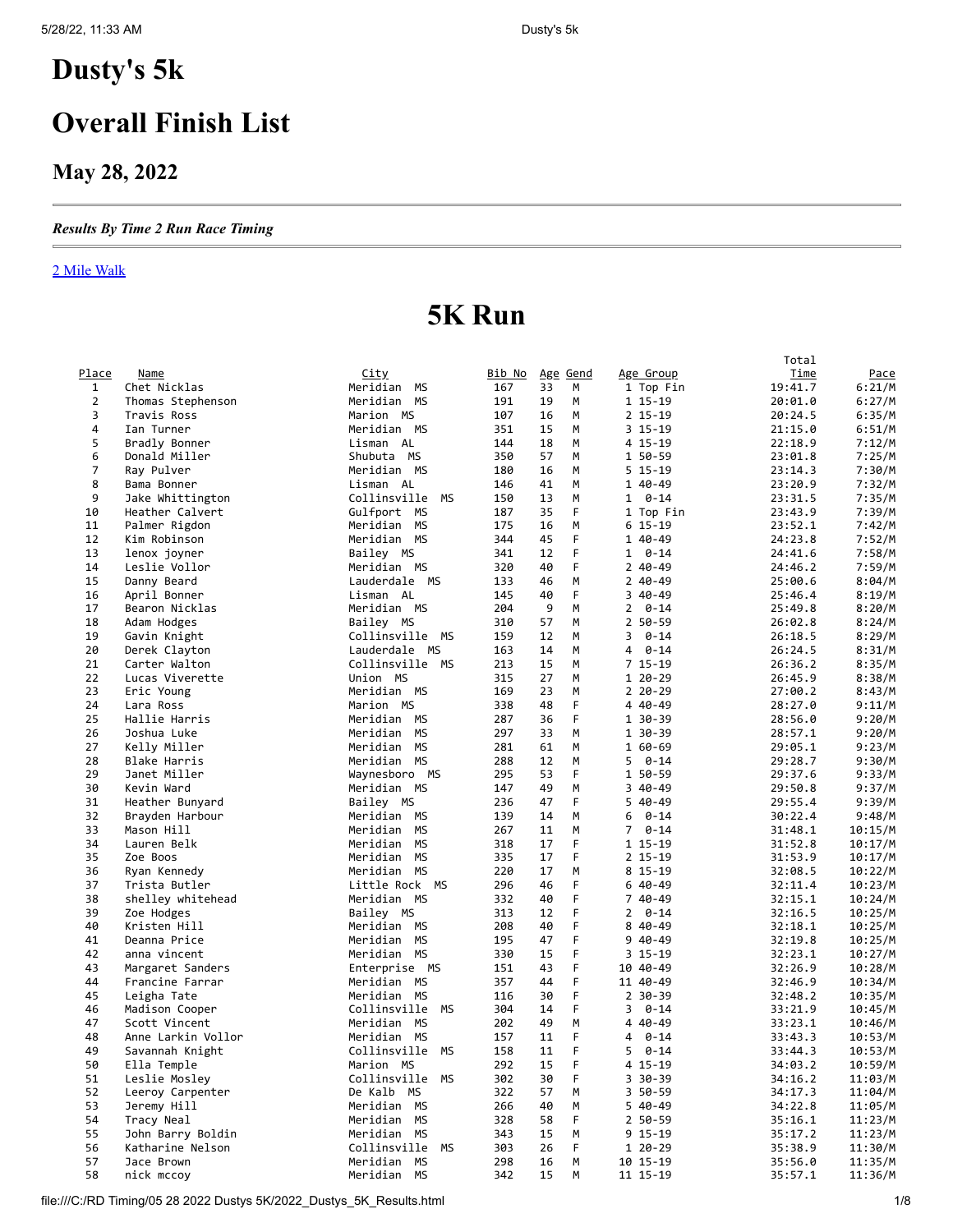# <span id="page-0-0"></span>**Dusty's 5k**

# **Overall Finish List**

### **May 28, 2022**

#### *Results By Time 2 Run Race Timing*

### [2 Mile Walk](#page-1-0)

# **5K Run**

|                |                     |                    |               |    |                 |                            | Total       |                    |
|----------------|---------------------|--------------------|---------------|----|-----------------|----------------------------|-------------|--------------------|
| Place          | <u>Name</u>         | <u>City</u>        | <u>Bib No</u> |    | <u>Age Gend</u> | Age Group                  | <u>Time</u> | <u>Pace</u>        |
| $\mathbf{1}$   | Chet Nicklas        | Meridian MS        | 167           | 33 | M               | 1 Top Fin                  | 19:41.7     | 6:21/M             |
| $\overline{2}$ | Thomas Stephenson   | Meridian MS        | 191           | 19 | M               | 1 15-19                    | 20:01.0     | 6:27/M             |
| 3              | Travis Ross         | Marion MS          | 107           | 16 | M               | $2$ 15-19                  | 20:24.5     | 6:35/M             |
| 4              | Ian Turner          | Meridian MS        | 351           | 15 | M               | 3 15-19                    | 21:15.0     | 6:51/M             |
| 5              | Bradly Bonner       | Lisman AL          | 144           | 18 | M               | 4 15-19                    | 22:18.9     | 7:12/M             |
| 6              | Donald Miller       | Shubuta MS         | 350           | 57 | M               | 1 50-59                    | 23:01.8     | 7:25/M             |
| 7              | Ray Pulver          | Meridian MS        | 180           | 16 | M               | $5 15 - 19$                | 23:14.3     | 7:30/M             |
| 8              | Bama Bonner         | Lisman AL          | 146           | 41 | М               | 1 40-49                    | 23:20.9     | 7:32/M             |
| 9              | Jake Whittington    | Collinsville MS    | 150           | 13 | M               | $1 \quad 0-14$             | 23:31.5     | 7:35/M             |
| 10             | Heather Calvert     | Gulfport MS        | 187           | 35 | F               | 1 Top Fin                  | 23:43.9     | 7:39/M             |
| 11             | Palmer Rigdon       | Meridian MS        | 175           | 16 | M               | $6 15 - 19$                | 23:52.1     | 7:42/M             |
| 12             | Kim Robinson        | Meridian MS        | 344           | 45 | F               | 1 40-49                    | 24:23.8     | 7:52/M             |
| 13             | lenox joyner        | Bailey MS          | 341           | 12 | F               | $1 \quad 0-14$             | 24:41.6     | 7:58/M             |
| 14             | Leslie Vollor       | Meridian MS        | 320           | 40 | F               | $240 - 49$                 | 24:46.2     | 7:59/M             |
| 15             | Danny Beard         | Lauderdale MS      | 133           | 46 | M               | $240 - 49$                 | 25:00.6     | 8:04/M             |
| 16             | April Bonner        | Lisman AL          | 145           | 40 | F               | 3 40-49                    | 25:46.4     | 8:19/M             |
| 17             | Bearon Nicklas      | Meridian MS        | 204           | 9  | M               | $2 \quad 0-14$             | 25:49.8     | 8:20/M             |
| 18             |                     |                    |               |    |                 | $250 - 59$                 | 26:02.8     |                    |
|                | Adam Hodges         | Bailey MS          | 310           | 57 | М               |                            |             | 8:24/M             |
| 19             | Gavin Knight        | Collinsville MS    | 159           | 12 | M               | $0 - 14$<br>3              | 26:18.5     | 8:29/M             |
| 20             | Derek Clayton       | Lauderdale MS      | 163           | 14 | М               | $40 - 14$                  | 26:24.5     | 8:31/M             |
| 21             | Carter Walton       | Collinsville MS    | 213           | 15 | M               | $715-19$                   | 26:36.2     | 8:35/M             |
| 22             | Lucas Viverette     | Union MS           | 315           | 27 | M               | 1 20-29                    | 26:45.9     | 8:38/M             |
| 23             | Eric Young          | Meridian MS        | 169           | 23 | M               | $220 - 29$                 | 27:00.2     | 8:43/M             |
| 24             | Lara Ross           | Marion MS          | 338           | 48 | F               | 4 40 - 49                  | 28:27.0     | 9:11/M             |
| 25             | Hallie Harris       | Meridian MS        | 287           | 36 | F               | 1 30-39                    | 28:56.0     | 9:20/M             |
| 26             | Joshua Luke         | Meridian MS        | 297           | 33 | M               | 1 30-39                    | 28:57.1     | 9:20/M             |
| 27             | Kelly Miller        | Meridian MS        | 281           | 61 | M               | 1 60-69                    | 29:05.1     | 9:23/M             |
| 28             | <b>Blake Harris</b> | Meridian MS        | 288           | 12 | M               | $5 \quad 0-14$             | 29:28.7     | 9:30/M             |
| 29             | Janet Miller        | Waynesboro MS      | 295           | 53 | F               | 1 50-59                    | 29:37.6     | 9:33/M             |
| 30             | Kevin Ward          | Meridian MS        | 147           | 49 | M               | 3 40-49                    | 29:50.8     | 9:37/M             |
| 31             | Heather Bunyard     | Bailey MS          | 236           | 47 | F               | 5 40-49                    | 29:55.4     | 9:39/M             |
| 32             | Brayden Harbour     | Meridian MS        | 139           | 14 | M               | $60 - 14$                  | 30:22.4     | 9:48/M             |
| 33             | Mason Hill          | Meridian MS        | 267           | 11 | M               | $0 - 14$<br>7 <sup>7</sup> | 31:48.1     | 10:15/M            |
| 34             | Lauren Belk         | Meridian MS        | 318           | 17 | F               | 1 15-19                    | 31:52.8     | 10:17/M            |
| 35             | Zoe Boos            | Meridian MS        | 335           | 17 | F               | $2$ 15-19                  | 31:53.9     | 10:17/M            |
| 36             | Ryan Kennedy        | Meridian MS        | 220           | 17 | M               | 8 15-19                    | 32:08.5     | 10:22/M            |
| 37             | Trista Butler       | Little Rock MS     | 296           | 46 | F               | $640-49$                   | 32:11.4     | 10:23/M            |
| 38             | shelley whitehead   | Meridian MS        | 332           | 40 | F               | 7 40-49                    | 32:15.1     | 10:24/M            |
| 39             | Zoe Hodges          | Bailey MS          | 313           | 12 | F               | $0 - 14$<br>$\overline{2}$ | 32:16.5     | 10:25/M            |
| 40             | Kristen Hill        | Meridian MS        | 208           | 40 | F               | 8 40 - 49                  | 32:18.1     | 10:25/M            |
| 41             | Deanna Price        | Meridian MS        | 195           | 47 | F               | 9 40 - 49                  | 32:19.8     | 10:25/M            |
| 42             | anna vincent        | Meridian MS        | 330           | 15 | F               | 3 15-19                    | 32:23.1     | 10:27/M            |
| 43             | Margaret Sanders    | Enterprise MS      | 151           | 43 | F               | 10 40-49                   | 32:26.9     | 10:28/M            |
| 44             | Francine Farrar     | Meridian MS        | 357           | 44 | F               | 11 40-49                   | 32:46.9     | 10:34/M            |
| 45             | Leigha Tate         | Meridian MS        | 116           | 30 | F               | $2.30 - 39$                | 32:48.2     | 10:35/M            |
| 46             | Madison Cooper      | Collinsville<br>МS | 304           | 14 | F               | $0 - 14$<br>3              | 33:21.9     | 10:45/M            |
| 47             | Scott Vincent       | Meridian MS        | 202           | 49 | М               | 4 40-49                    | 33:23.1     | 10:46/M            |
| 48             | Anne Larkin Vollor  | Meridian MS        | 157           | 11 | F               | $0 - 14$<br>4              | 33:43.3     |                    |
| 49             | Savannah Knight     | Collinsville MS    | 158           | 11 | F               | 5<br>0-14                  |             | 10:53/M<br>10:53/M |
|                |                     |                    |               |    |                 |                            | 33:44.3     |                    |
| 50             | Ella Temple         | Marion MS          | 292           | 15 | F               | 4 15-19                    | 34:03.2     | 10:59/M            |
| 51             | Leslie Mosley       | Collinsville MS    | 302           | 30 | F               | 3 30-39                    | 34:16.2     | 11:03/M            |
| 52             | Leeroy Carpenter    | De Kalb MS         | 322           | 57 | М               | 3 50-59                    | 34:17.3     | 11:04/M            |
| 53             | Jeremy Hill         | Meridian MS        | 266           | 40 | М               | 5 40-49                    | 34:22.8     | 11:05/M            |
| 54             | Tracy Neal          | Meridian MS        | 328           | 58 | F               | 2 50-59                    | 35:16.1     | 11:23/M            |
| 55             | John Barry Boldin   | Meridian MS        | 343           | 15 | М               | $9 15 - 19$                | 35:17.2     | 11:23/M            |
| 56             | Katharine Nelson    | Collinsville MS    | 303           | 26 | F               | 1 20-29                    | 35:38.9     | 11:30/M            |
| 57             | Jace Brown          | Meridian MS        | 298           | 16 | М               | 10 15-19                   | 35:56.0     | 11:35/M            |
| 58             | nick mccoy          | Meridian MS        | 342           | 15 | M               | 11 15-19                   | 35:57.1     | 11:36/M            |

file:///C:/RD Timing/05 28 2022 Dustys 5K/2022\_Dustys\_5K\_Results.html 1/8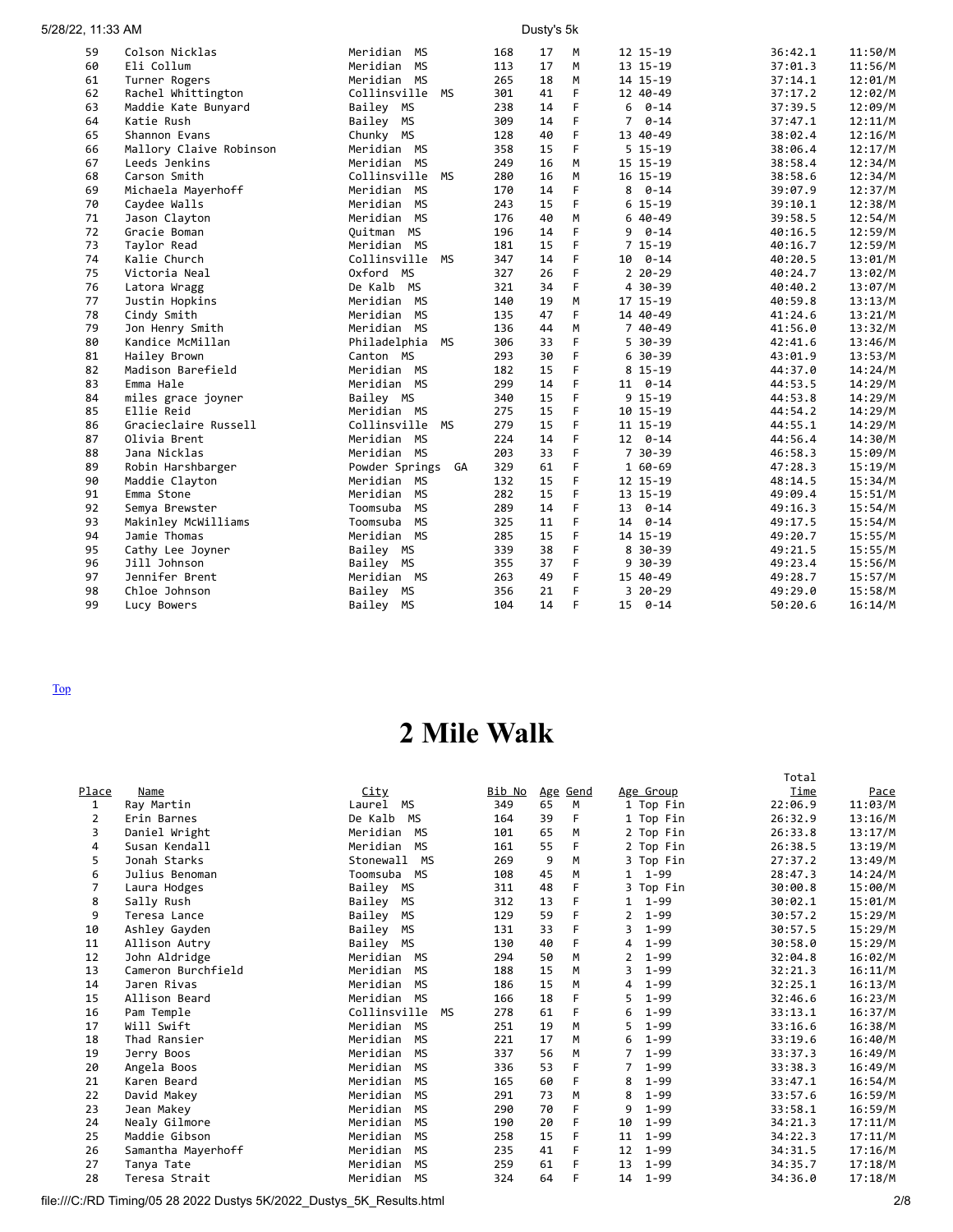| 5/28/22, 11:33 AM |                         |                       |     | Dusty's 5k |             |                            |         |         |
|-------------------|-------------------------|-----------------------|-----|------------|-------------|----------------------------|---------|---------|
| 59                | Colson Nicklas          | Meridian<br><b>MS</b> | 168 | 17         | M           | 12 15-19                   | 36:42.1 | 11:50/M |
| 60                | Eli Collum              | <b>MS</b><br>Meridian | 113 | 17         | M           | 13 15-19                   | 37:01.3 | 11:56/M |
| 61                | Turner Rogers           | Meridian MS           | 265 | 18         | M           | 14 15-19                   | 37:14.1 | 12:01/M |
| 62                | Rachel Whittington      | Collinsville MS       | 301 | 41         | F           | 12 40-49                   | 37:17.2 | 12:02/M |
| 63                | Maddie Kate Bunyard     | Bailey MS             | 238 | 14         | F           | $0 - 14$<br>6              | 37:39.5 | 12:09/M |
| 64                | Katie Rush              | Bailey MS             | 309 | 14         | F           | $\overline{7}$<br>$0 - 14$ | 37:47.1 | 12:11/M |
| 65                | Shannon Evans           | Chunky MS             | 128 | 40         | F           | 13 40-49                   | 38:02.4 | 12:16/M |
| 66                | Mallory Claive Robinson | Meridian MS           | 358 | 15         | $\mathsf F$ | $5 15 - 19$                | 38:06.4 | 12:17/M |
| 67                | Leeds Jenkins           | Meridian MS           | 249 | 16         | M           | 15 15-19                   | 38:58.4 | 12:34/M |
| 68                | Carson Smith            | Collinsville<br>MS    | 280 | 16         | M           | 16 15-19                   | 38:58.6 | 12:34/M |
| 69                | Michaela Mayerhoff      | Meridian MS           | 170 | 14         | F           | $8 \quad 0-14$             | 39:07.9 | 12:37/M |
| 70                | Caydee Walls            | Meridian MS           | 243 | 15         | F           | $6$ 15-19                  | 39:10.1 | 12:38/M |
| 71                | Jason Clayton           | Meridian MS           | 176 | 40         | M           | $640-49$                   | 39:58.5 | 12:54/M |
| 72                | Gracie Boman            | Quitman MS            | 196 | 14         | F           | $90 - 14$                  | 40:16.5 | 12:59/M |
| 73                | Taylor Read             | Meridian MS           | 181 | 15         | F           | $715-19$                   | 40:16.7 | 12:59/M |
| 74                | Kalie Church            | Collinsville<br>MS    | 347 | 14         | F           | $0 - 14$<br>10             | 40:20.5 | 13:01/M |
| 75                | Victoria Neal           | Oxford MS             | 327 | 26         | F           | $220 - 29$                 | 40:24.7 | 13:02/M |
| 76                | Latora Wragg            | De Kalb MS            | 321 | 34         | E           | 4 30 - 39                  | 40:40.2 | 13:07/M |
| 77                | Justin Hopkins          | Meridian MS           | 140 | 19         | M           | 17 15-19                   | 40:59.8 | 13:13/M |
| 78                | Cindy Smith             | Meridian<br>MS        | 135 | 47         | F           | 14 40-49                   | 41:24.6 | 13:21/M |
| 79                | Jon Henry Smith         | Meridian MS           | 136 | 44         | M           | $740-49$                   | 41:56.0 | 13:32/M |
| 80                | Kandice McMillan        | Philadelphia MS       | 306 | 33         | F           | $530-39$                   | 42:41.6 | 13:46/M |
| 81                | Hailey Brown            | Canton MS             | 293 | 30         | F           | $630-39$                   | 43:01.9 | 13:53/M |
| 82                | Madison Barefield       | Meridian MS           | 182 | 15         | F           | 8 15-19                    | 44:37.0 | 14:24/M |
| 83                | Emma Hale               | Meridian MS           | 299 | 14         | E           | $11 \quad 0-14$            | 44:53.5 | 14:29/M |
| 84                | miles grace joyner      | Bailey MS             | 340 | 15         | $\mathsf F$ | $9$ 15-19                  | 44:53.8 | 14:29/M |
| 85                | Ellie Reid              | Meridian MS           | 275 | 15         | F           | 10 15-19                   | 44:54.2 | 14:29/M |
| 86                | Gracieclaire Russell    | Collinsville<br>MS    | 279 | 15         | F           | 11 15-19                   | 44:55.1 | 14:29/M |
| 87                | Olivia Brent            | Meridian MS           | 224 | 14         | F           | $12 \quad 0-14$            | 44:56.4 | 14:30/M |
| 88                | Jana Nicklas            | Meridian MS           | 203 | 33         | F           | $730-39$                   | 46:58.3 | 15:09/M |
| 89                | Robin Harshbarger       | Powder Springs GA     | 329 | 61         | F           | 1 60-69                    | 47:28.3 | 15:19/M |
| 90                | Maddie Clayton          | Meridian MS           | 132 | 15         | F           | 12 15-19                   | 48:14.5 | 15:34/M |
| 91                | Emma Stone              | Meridian MS           | 282 | 15         | F           | 13 15-19                   | 49:09.4 | 15:51/M |
| 92                | Semya Brewster          | <b>MS</b><br>Toomsuba | 289 | 14         | F           | $0 - 14$<br>13             | 49:16.3 | 15:54/M |
| 93                | Makinley McWilliams     | <b>MS</b><br>Toomsuba | 325 | 11         | E           | 14 0-14                    | 49:17.5 | 15:54/M |
| 94                | Jamie Thomas            | Meridian MS           | 285 | 15         | E           | 14 15-19                   | 49:20.7 | 15:55/M |
| 95                | Cathy Lee Joyner        | Bailey MS             | 339 | 38         | F           | 8 30 - 39                  | 49:21.5 | 15:55/M |
| 96                | Jill Johnson            | Bailey MS             | 355 | 37         | F           | $9.30 - 39$                | 49:23.4 | 15:56/M |
| 97                | Jennifer Brent          | Meridian MS           | 263 | 49         | F           | 15 40-49                   | 49:28.7 | 15:57/M |
| 98                | Chloe Johnson           | Bailey MS             | 356 | 21         | F           | $320 - 29$                 | 49:29.0 | 15:58/M |
| 99                | Lucy Bowers             | Bailey MS             | 104 | 14         | F           | $15 \quad 0-14$            | 50:20.6 | 16:14/M |

<span id="page-1-0"></span>[Top](#page-0-0)

### **2 Mile Walk**

**Total** description of the control of the control of the control of the control of the control of the control of the control of the control of the control of the control of the control of the control of the control of the

| Place | Name               | <u>City</u>           | Bib No | Age | <u>Gend</u> |                   | Age Group  | <u>Time</u> | Pace    |
|-------|--------------------|-----------------------|--------|-----|-------------|-------------------|------------|-------------|---------|
| 1     | Ray Martin         | MS<br>Laurel          | 349    | 65  | M           |                   | 1 Top Fin  | 22:06.9     | 11:03/M |
| 2     | Erin Barnes        | De Kalb<br>MS         | 164    | 39  | F           |                   | 1 Top Fin  | 26:32.9     | 13:16/M |
| 3     | Daniel Wright      | Meridian<br>MS        | 101    | 65  | M           |                   | 2 Top Fin  | 26:33.8     | 13:17/M |
| 4     | Susan Kendall      | Meridian<br>MS        | 161    | 55  | F           |                   | 2 Top Fin  | 26:38.5     | 13:19/M |
| 5     | Jonah Starks       | Stonewall<br>MS       | 269    | 9   | м           |                   | 3 Top Fin  | 27:37.2     | 13:49/M |
| 6     | Julius Benoman     | Toomsuba MS           | 108    | 45  | M           |                   | $1 1 - 99$ | 28:47.3     | 14:24/M |
| 7     | Laura Hodges       | Bailey MS             | 311    | 48  | F           |                   | 3 Top Fin  | 30:00.8     | 15:00/M |
| 8     | Sally Rush         | Bailey<br>МS          | 312    | 13  | F           |                   | $1 - 99$   | 30:02.1     | 15:01/M |
| 9     | Teresa Lance       | Bailey<br>МS          | 129    | 59  | F           |                   | $1 - 99$   | 30:57.2     | 15:29/M |
| 10    | Ashley Gayden      | Bailey<br>МS          | 131    | 33  | F           | 3                 | $1 - 99$   | 30:57.5     | 15:29/M |
| 11    | Allison Autry      | Bailey MS             | 130    | 40  | F           | 4                 | $1 - 99$   | 30:58.0     | 15:29/M |
| 12    | John Aldridge      | Meridian MS           | 294    | 50  | M           | 2                 | $1 - 99$   | 32:04.8     | 16:02/M |
| 13    | Cameron Burchfield | Meridian<br>MS        | 188    | 15  | M           |                   | $1 - 99$   | 32:21.3     | 16:11/M |
| 14    | Jaren Rivas        | Meridian<br><b>MS</b> | 186    | 15  | M           | 4                 | $1 - 99$   | 32:25.1     | 16:13/M |
| 15    | Allison Beard      | Meridian MS           | 166    | 18  | F           | 5.                | $1 - 99$   | 32:46.6     | 16:23/M |
| 16    | Pam Temple         | Collinsville<br>MS    | 278    | 61  | F           | 6                 | $1 - 99$   | 33:13.1     | 16:37/M |
| 17    | Will Swift         | Meridian MS           | 251    | 19  | M           | 5                 | $1 - 99$   | 33:16.6     | 16:38/M |
| 18    | Thad Ransier       | Meridian<br>MS        | 221    | 17  | M           | 6                 | $1 - 99$   | 33:19.6     | 16:40/M |
| 19    | Jerry Boos         | Meridian<br>MS        | 337    | 56  | M           |                   | $1 - 99$   | 33:37.3     | 16:49/M |
| 20    | Angela Boos        | Meridian<br>MS        | 336    | 53  | F           |                   | $1 - 99$   | 33:38.3     | 16:49/M |
| 21    | Karen Beard        | Meridian<br>MS        | 165    | 60  | F           | 8                 | $1 - 99$   | 33:47.1     | 16:54/M |
| 22    | David Makey        | Meridian<br>MS        | 291    | 73  | M           | 8                 | $1 - 99$   | 33:57.6     | 16:59/M |
| 23    | Jean Makey         | Meridian<br>MS        | 290    | 70  | F           | 9                 | $1 - 99$   | 33:58.1     | 16:59/M |
| 24    | Nealy Gilmore      | Meridian<br>MS        | 190    | 20  | F           | 10                | $1 - 99$   | 34:21.3     | 17:11/M |
| 25    | Maddie Gibson      | Meridian<br>MS        | 258    | 15  | F           | 11                | $1 - 99$   | 34:22.3     | 17:11/M |
| 26    | Samantha Mayerhoff | Meridian<br><b>MS</b> | 235    | 41  | F           | $12 \overline{ }$ | $1 - 99$   | 34:31.5     | 17:16/M |
| 27    | Tanya Tate         | Meridian<br>МS        | 259    | 61  | F           | 13                | $1 - 99$   | 34:35.7     | 17:18/M |
| 28    | Teresa Strait      | Meridian<br>MS        | 324    | 64  | F           | 14                | $1 - 99$   | 34:36.0     | 17:18/M |
|       |                    |                       |        |     |             |                   |            |             |         |

file:///C:/RD Timing/05 28 2022 Dustys 5K/2022\_Dustys\_5K\_Results.html 2/8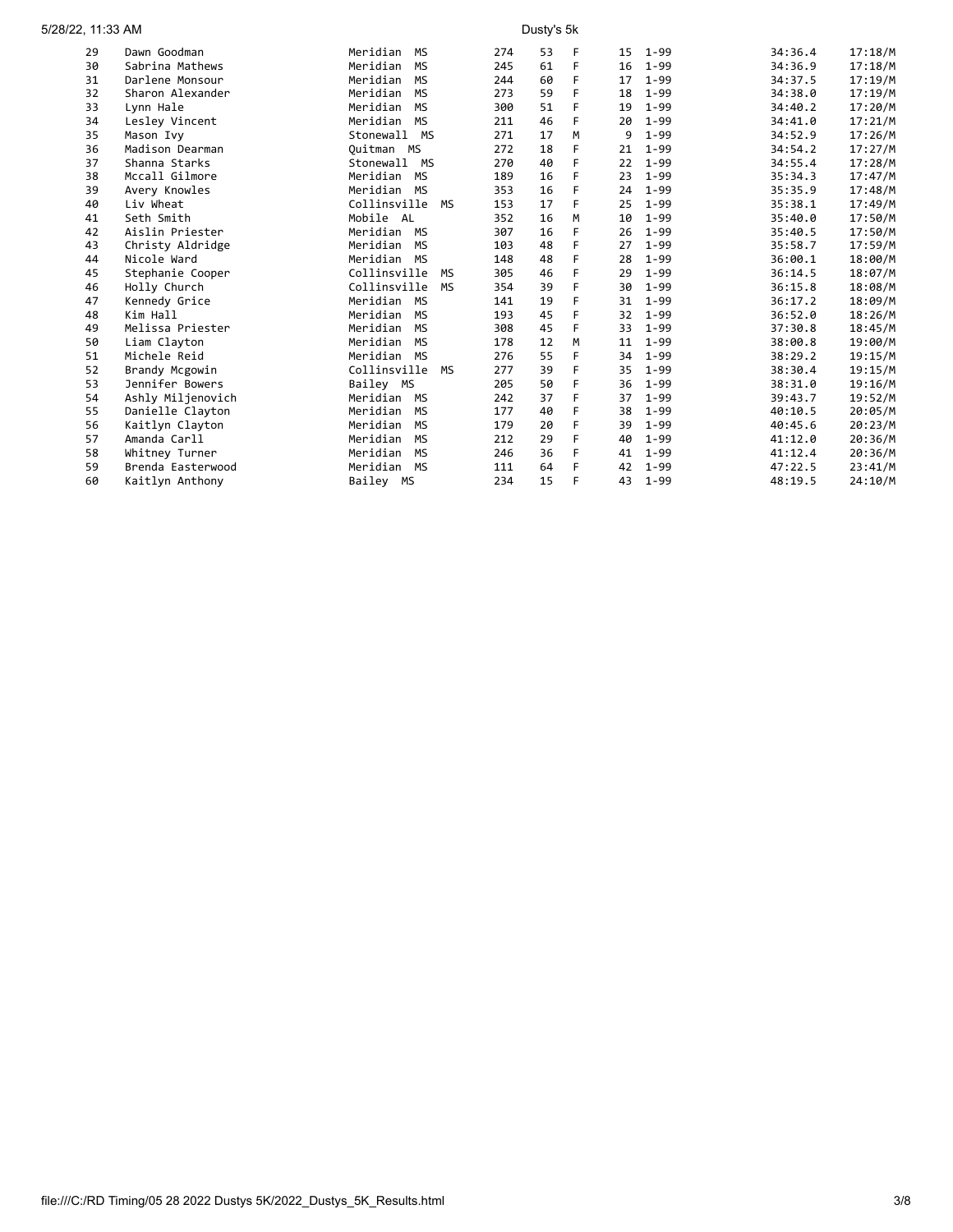| 5/28/22, 11:33 AM |                   |                    |     | Dusty's 5k |   |    |          |         |         |
|-------------------|-------------------|--------------------|-----|------------|---|----|----------|---------|---------|
| 29                | Dawn Goodman      | Meridian MS        | 274 | 53         | F | 15 | $1 - 99$ | 34:36.4 | 17:18/M |
| 30                | Sabrina Mathews   | Meridian<br>MS     | 245 | 61         | F | 16 | $1 - 99$ | 34:36.9 | 17:18/M |
| 31                | Darlene Monsour   | Meridian<br>MS     | 244 | 60         | F | 17 | $1 - 99$ | 34:37.5 | 17:19/M |
| 32                | Sharon Alexander  | Meridian<br>MS     | 273 | 59         | F | 18 | $1 - 99$ | 34:38.0 | 17:19/M |
| 33                | Lynn Hale         | Meridian<br>MS     | 300 | 51         | F | 19 | $1 - 99$ | 34:40.2 | 17:20/M |
| 34                | Lesley Vincent    | Meridian MS        | 211 | 46         | F | 20 | $1 - 99$ | 34:41.0 | 17:21/M |
| 35                | Mason Ivy         | Stonewall MS       | 271 | 17         | M | 9  | $1 - 99$ | 34:52.9 | 17:26/M |
| 36                | Madison Dearman   | Quitman MS         | 272 | 18         | F | 21 | $1 - 99$ | 34:54.2 | 17:27/M |
| 37                | Shanna Starks     | Stonewall MS       | 270 | 40         | F | 22 | $1 - 99$ | 34:55.4 | 17:28/M |
| 38                | Mccall Gilmore    | Meridian MS        | 189 | 16         | F | 23 | $1 - 99$ | 35:34.3 | 17:47/M |
| 39                | Avery Knowles     | Meridian MS        | 353 | 16         | F | 24 | $1 - 99$ | 35:35.9 | 17:48/M |
| 40                | Liv Wheat         | Collinsville MS    | 153 | 17         | F | 25 | $1 - 99$ | 35:38.1 | 17:49/M |
| 41                | Seth Smith        | Mobile AL          | 352 | 16         | M | 10 | $1 - 99$ | 35:40.0 | 17:50/M |
| 42                | Aislin Priester   | Meridian MS        | 307 | 16         | F | 26 | $1 - 99$ | 35:40.5 | 17:50/M |
| 43                | Christy Aldridge  | Meridian MS        | 103 | 48         | F | 27 | $1 - 99$ | 35:58.7 | 17:59/M |
| 44                | Nicole Ward       | Meridian MS        | 148 | 48         | F | 28 | $1 - 99$ | 36:00.1 | 18:00/M |
| 45                | Stephanie Cooper  | Collinsville<br>MS | 305 | 46         | F | 29 | $1 - 99$ | 36:14.5 | 18:07/M |
| 46                | Holly Church      | Collinsville<br>MS | 354 | 39         | F | 30 | $1 - 99$ | 36:15.8 | 18:08/M |
| 47                | Kennedy Grice     | Meridian MS        | 141 | 19         | F | 31 | $1 - 99$ | 36:17.2 | 18:09/M |
| 48                | Kim Hall          | Meridian MS        | 193 | 45         | F | 32 | $1 - 99$ | 36:52.0 | 18:26/M |
| 49                | Melissa Priester  | Meridian MS        | 308 | 45         | F | 33 | $1 - 99$ | 37:30.8 | 18:45/M |
| 50                | Liam Clayton      | Meridian<br>MS     | 178 | 12         | M | 11 | $1 - 99$ | 38:00.8 | 19:00/M |
| 51                | Michele Reid      | Meridian MS        | 276 | 55         | F | 34 | $1 - 99$ | 38:29.2 | 19:15/M |
| 52                | Brandy Mcgowin    | Collinsville<br>MS | 277 | 39         | F | 35 | $1 - 99$ | 38:30.4 | 19:15/M |
| 53                | Jennifer Bowers   | Bailey MS          | 205 | 50         | F | 36 | $1 - 99$ | 38:31.0 | 19:16/M |
| 54                | Ashly Miljenovich | Meridian MS        | 242 | 37         | F | 37 | $1 - 99$ | 39:43.7 | 19:52/M |
| 55                | Danielle Clayton  | Meridian<br>MS     | 177 | 40         | F | 38 | $1 - 99$ | 40:10.5 | 20:05/M |
| 56                | Kaitlyn Clayton   | Meridian<br>MS     | 179 | 20         | F | 39 | $1 - 99$ | 40:45.6 | 20:23/M |
| 57                | Amanda Carll      | Meridian<br>MS     | 212 | 29         |   | 40 | $1 - 99$ | 41:12.0 | 20:36/M |
| 58                | Whitney Turner    | Meridian MS        | 246 | 36         | F | 41 | $1 - 99$ | 41:12.4 | 20:36/M |
| 59                | Brenda Easterwood | Meridian MS        | 111 | 64         | F | 42 | $1 - 99$ | 47:22.5 | 23:41/M |
| 60                | Kaitlyn Anthony   | Bailey MS          | 234 | 15         | F | 43 | $1 - 99$ | 48:19.5 | 24:10/M |
|                   |                   |                    |     |            |   |    |          |         |         |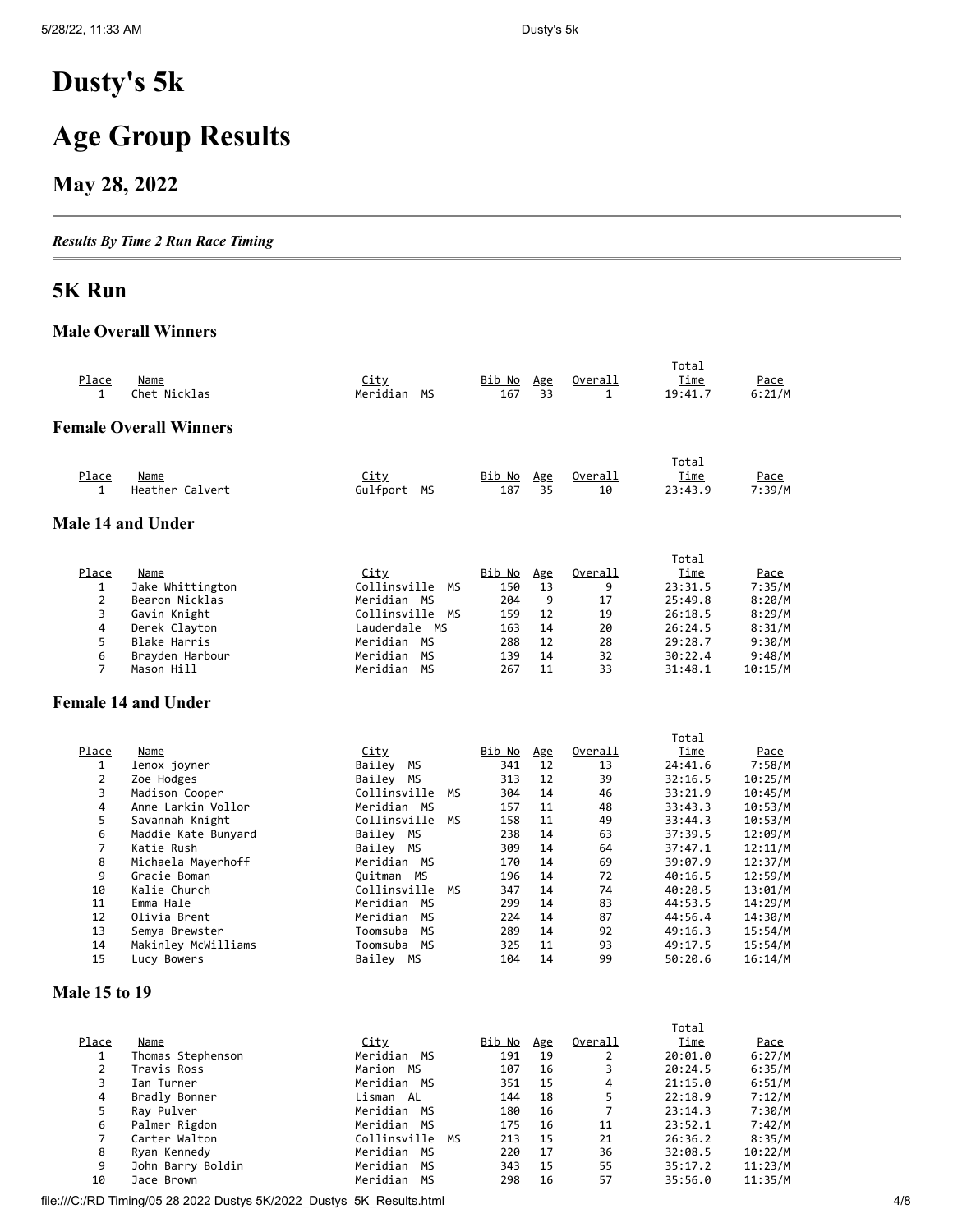# **Dusty's 5k**

# **Age Group Results**

### **May 28, 2022**

*Results By Time 2 Run Race Timing*

### **5K Run**

#### **Male Overall Winners**

| Place<br>1 | Name<br>Chet Nicklas          | <u>City</u><br>Meridian<br>MS | <u>Bib No</u><br>167 | Age<br>33 | Overall<br>1  | Total<br><u>Time</u><br>19:41.7 | Pace<br>6:21/M |
|------------|-------------------------------|-------------------------------|----------------------|-----------|---------------|---------------------------------|----------------|
|            | <b>Female Overall Winners</b> |                               |                      |           |               |                                 |                |
| Place<br>1 | Name<br>Heather Calvert       | <b>City</b><br>Gulfport<br>МS | <u>Bib No</u><br>187 | Age<br>35 | Overall<br>10 | Total<br><u>Time</u><br>23:43.9 | Pace<br>7:39/M |
|            | Male 14 and Under             |                               |                      |           |               |                                 |                |
|            |                               |                               |                      |           |               | Total                           |                |
| Place      | Name                          | <u>City</u>                   | <u>Bib No</u>        | Age       | Overall       | <u>Time</u>                     | <u>Pace</u>    |
| 1          | Jake Whittington              | Collinsville<br>ΜS            | 150                  | 13        | 9             | 23:31.5                         | 7:35/M         |
| 2          | Bearon Nicklas                | Meridian MS                   | 204                  | 9         | 17            | 25:49.8                         | 8:20/M         |
| 3          | Gavin Knight                  | Collinsville<br><b>MS</b>     | 159                  | 12        | 19            | 26:18.5                         | 8:29/M         |
| 4          | Derek Clayton                 | Lauderdale<br>MS              | 163                  | 14        | 20            | 26:24.5                         | 8:31/M         |
| 5          | Blake Harris                  | Meridian<br><b>MS</b>         | 288                  | 12        | 28            | 29:28.7                         | 9:30/M         |
| 6          | Brayden Harbour               | Meridian<br>МS                | 139                  | 14        | 32            | 30:22.4                         | 9:48/M         |
| 7          | Mason Hill                    | Meridian<br>MS                | 267                  | 11        | 33            | 31:48.1                         | 10:15/M        |
|            | <b>Female 14 and Under</b>    |                               |                      |           |               |                                 |                |

|                |                     |                    |        |     |         | Total       |             |
|----------------|---------------------|--------------------|--------|-----|---------|-------------|-------------|
| Place          | Name                | <u>City</u>        | Bib No | Age | Overall | <u>Time</u> | <u>Pace</u> |
| 1              | lenox joyner        | Bailey<br>МS       | 341    | 12  | 13      | 24:41.6     | 7:58/M      |
| $\overline{2}$ | Zoe Hodges          | Bailey MS          | 313    | 12  | 39      | 32:16.5     | 10:25/M     |
| 3              | Madison Cooper      | Collinsville<br>MS | 304    | 14  | 46      | 33:21.9     | 10:45/M     |
| 4              | Anne Larkin Vollor  | Meridian MS        | 157    | 11  | 48      | 33:43.3     | 10:53/M     |
| 5              | Savannah Knight     | Collinsville<br>MS | 158    | 11  | 49      | 33:44.3     | 10:53/M     |
| 6              | Maddie Kate Bunyard | Bailey MS          | 238    | 14  | 63      | 37:39.5     | 12:09/M     |
| 7              | Katie Rush          | Bailey MS          | 309    | 14  | 64      | 37:47.1     | 12:11/M     |
| 8              | Michaela Mayerhoff  | Meridian MS        | 170    | 14  | 69      | 39:07.9     | 12:37/M     |
| 9              | Gracie Boman        | Ouitman MS         | 196    | 14  | 72      | 40:16.5     | 12:59/M     |
| 10             | Kalie Church        | Collinsville<br>MS | 347    | 14  | 74      | 40:20.5     | 13:01/M     |
| 11             | Emma Hale           | Meridian<br>MS     | 299    | 14  | 83      | 44:53.5     | 14:29/M     |
| 12             | Olivia Brent        | Meridian<br>MS     | 224    | 14  | 87      | 44:56.4     | 14:30/M     |
| 13             | Semya Brewster      | Toomsuba<br>МS     | 289    | 14  | 92      | 49:16.3     | 15:54/M     |
| 14             | Makinley McWilliams | MS<br>Toomsuba     | 325    | 11  | 93      | 49:17.5     | 15:54/M     |
| 15             | Lucy Bowers         | Bailey MS          | 104    | 14  | 99      | 50:20.6     | 16:14/M     |

#### **Male 15 to 19**

|                |                   |                       |               |            |         | Total   |         |
|----------------|-------------------|-----------------------|---------------|------------|---------|---------|---------|
| Place          | Name              | <u>City</u>           | <u>Bib No</u> | <u>Age</u> | Overall | Time    | Pace    |
|                | Thomas Stephenson | Meridian<br>MS        | 191           | 19         |         | 20:01.0 | 6:27/M  |
| $\overline{2}$ | Travis Ross       | Marion MS             | 107           | 16         | 3       | 20:24.5 | 6:35/M  |
| 3              | Ian Turner        | Meridian<br>MS        | 351           | 15         | 4       | 21:15.0 | 6:51/M  |
| 4              | Bradly Bonner     | Lisman AL             | 144           | 18         | 5       | 22:18.9 | 7:12/M  |
| 5.             | Ray Pulver        | Meridian<br>MS        | 180           | 16         |         | 23:14.3 | 7:30/M  |
| 6              | Palmer Rigdon     | Meridian<br><b>MS</b> | 175           | 16         | 11      | 23:52.1 | 7:42/M  |
|                | Carter Walton     | Collinsville<br>MS    | 213           | 15         | 21      | 26:36.2 | 8:35/M  |
| 8              | Ryan Kennedy      | Meridian<br>MS        | 220           | 17         | 36      | 32:08.5 | 10:22/M |
| 9              | John Barry Boldin | Meridian<br>MS        | 343           | 15         | 55      | 35:17.2 | 11:23/M |
| 10             | Jace Brown        | Meridian<br>MS        | 298           | 16         | 57      | 35:56.0 | 11:35/M |

file:///C:/RD Timing/05 28 2022 Dustys 5K/2022\_Dustys\_5K\_Results.html 4/8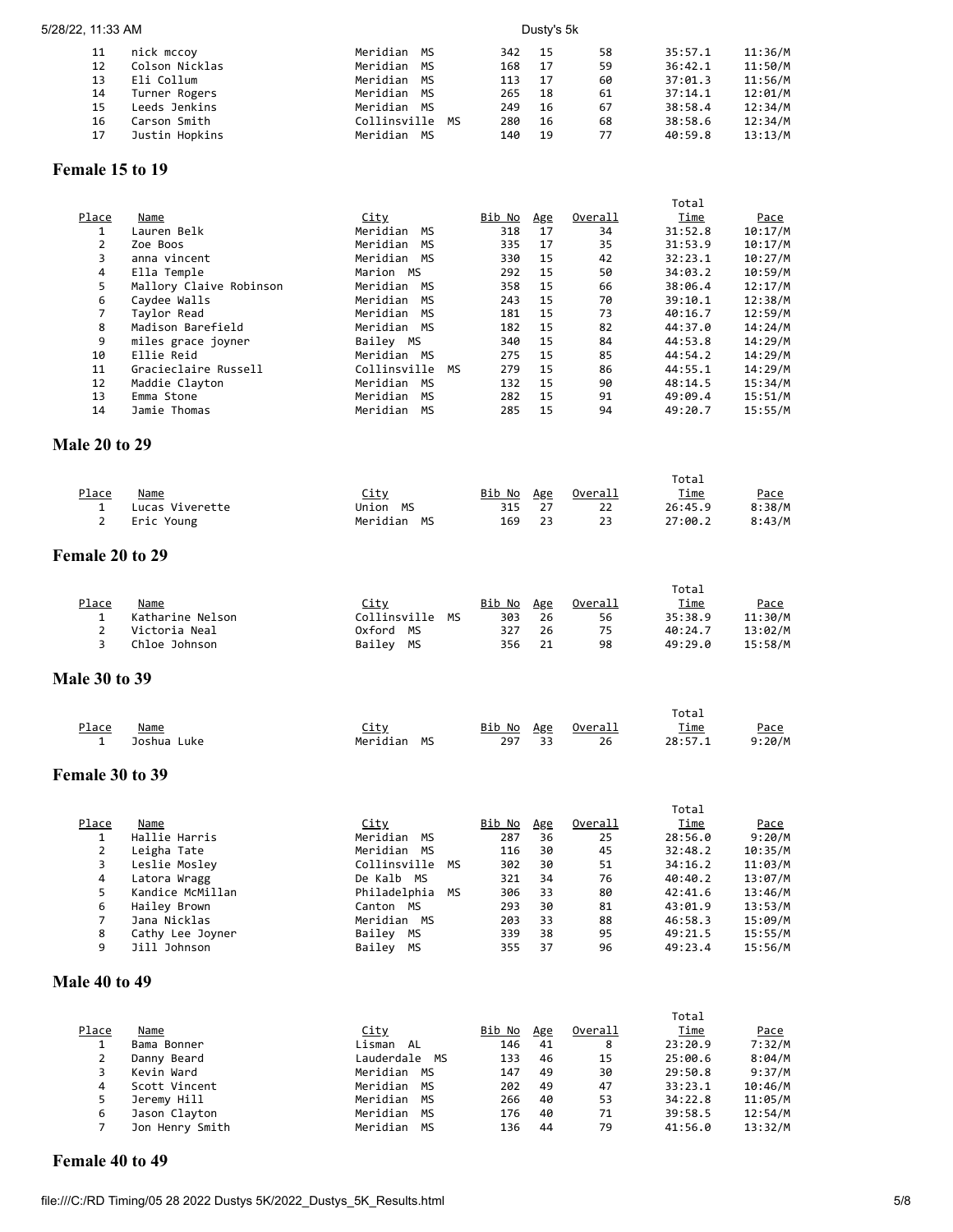|    | 5/28/22, 11:33 AM |                | Dusty's 5k   |    |     |    |    |         |         |  |
|----|-------------------|----------------|--------------|----|-----|----|----|---------|---------|--|
| 11 |                   | nick mccoy     | Meridian MS  |    | 342 | 15 | 58 | 35:57.1 | 11:36/M |  |
| 12 |                   | Colson Nicklas | Meridian MS  |    | 168 | 17 | 59 | 36:42.1 | 11:50/M |  |
| 13 |                   | Eli Collum     | Meridian     | MS | 113 | 17 | 60 | 37:01.3 | 11:56/M |  |
| 14 |                   | Turner Rogers  | Meridian MS  |    | 265 | 18 | 61 | 37:14.1 | 12:01/M |  |
| 15 |                   | Leeds Jenkins  | Meridian MS  |    | 249 | 16 | 67 | 38:58.4 | 12:34/M |  |
| 16 |                   | Carson Smith   | Collinsville | MS | 280 | 16 | 68 | 38:58.6 | 12:34/M |  |
| 17 |                   | Justin Hopkins | Meridian MS  |    | 140 | 19 | 77 | 40:59.8 | 13:13/M |  |

### **Female 15 to 19**

|                      |                         |                           |               |     |         | Total       |         |
|----------------------|-------------------------|---------------------------|---------------|-----|---------|-------------|---------|
| Place                | Name                    | <b>City</b>               | <u>Bib No</u> | Age | Overall | Time        | Pace    |
| 1                    | Lauren Belk             | Meridian<br><b>MS</b>     | 318           | 17  | 34      | 31:52.8     | 10:17/M |
| 2                    | Zoe Boos                | Meridian<br><b>MS</b>     | 335           | 17  | 35      | 31:53.9     | 10:17/M |
| 3                    | anna vincent            | Meridian<br>MS            | 330           | 15  | 42      | 32:23.1     | 10:27/M |
| 4                    | Ella Temple             | Marion MS                 | 292           | 15  | 50      | 34:03.2     | 10:59/M |
| 5                    | Mallory Claive Robinson | Meridian<br>MS            | 358           | 15  | 66      | 38:06.4     | 12:17/M |
| 6                    | Caydee Walls            | Meridian<br>MS            | 243           | 15  | 70      | 39:10.1     | 12:38/M |
| 7                    | Taylor Read             | Meridian<br>MS            | 181           | 15  | 73      | 40:16.7     | 12:59/M |
| 8                    | Madison Barefield       | Meridian<br><b>MS</b>     | 182           | 15  | 82      | 44:37.0     | 14:24/M |
| 9                    | miles grace joyner      | Bailey MS                 | 340           | 15  | 84      | 44:53.8     | 14:29/M |
| 10                   | Ellie Reid              | Meridian MS               | 275           | 15  | 85      | 44:54.2     | 14:29/M |
| 11                   | Gracieclaire Russell    | Collinsville<br><b>MS</b> | 279           | 15  | 86      | 44:55.1     | 14:29/M |
| 12                   | Maddie Clayton          | Meridian<br>MS            | 132           | 15  | 90      | 48:14.5     | 15:34/M |
| 13                   | Emma Stone              | Meridian<br>MS            | 282           | 15  | 91      | 49:09.4     | 15:51/M |
| 14                   | Jamie Thomas            | Meridian<br>MS            | 285           | 15  | 94      | 49:20.7     | 15:55/M |
| <b>Male 20 to 29</b> |                         |                           |               |     |         |             |         |
|                      |                         |                           |               |     |         | Total       |         |
| Place                | Name                    | <u>City</u>               | <u>Bib No</u> | Age | Overall | Time        | Pace    |
| 1                    | Lucas Viverette         | Union MS                  | 315           | 27  | 22      | 26:45.9     | 8:38/M  |
| $\overline{2}$       | Eric Young              | Meridian MS               | 169           | 23  | 23      | 27:00.2     | 8:43/M  |
| Female 20 to 29      |                         |                           |               |     |         |             |         |
|                      |                         |                           |               |     |         | Total       |         |
| Place                | Name                    | <u>City</u>               | <u>Bib No</u> | Age | Overall | <u>Time</u> | Pace    |
| 1                    | Katharine Nelson        | Collinsville<br>MS        | 303           | 26  | 56      | 35:38.9     | 11:30/M |
| 2                    | Victoria Neal           | 0xford<br><b>MS</b>       | 327           | 26  | 75      | 40:24.7     | 13:02/M |
| 3                    | Chloe Johnson           | Bailey<br><b>MS</b>       | 356           | 21  | 98      | 49:29.0     | 15:58/M |
|                      |                         |                           |               |     |         |             |         |

#### **Male 30 to 39**

|       |             |             |    |        |     |         | Total   |        |
|-------|-------------|-------------|----|--------|-----|---------|---------|--------|
| Place | Name        | <u>City</u> |    | Bib No | Age | Overall | Time    | Pace   |
|       | Joshua Luke | Meridian    | MS | 297    | २२  | 26      | 28:57.1 | 9:20/M |

#### **Female 30 to 39**

|       |                  |                    |        |     |         | Total   |         |
|-------|------------------|--------------------|--------|-----|---------|---------|---------|
| Place | Name             | City               | Bib No | Age | Overall | Time    | Pace    |
|       | Hallie Harris    | Meridian<br>MS     | 287    | 36  | 25      | 28:56.0 | 9:20/M  |
|       | Leigha Tate      | Meridian<br>MS     | 116    | 30  | 45      | 32:48.2 | 10:35/M |
| 3     | Leslie Mosley    | Collinsville<br>MS | 302    | 30  | 51      | 34:16.2 | 11:03/M |
| 4     | Latora Wragg     | De Kalb MS         | 321    | 34  | 76      | 40:40.2 | 13:07/M |
| 5.    | Kandice McMillan | Philadelphia<br>MS | 306    | 33  | 80      | 42:41.6 | 13:46/M |
| 6     | Hailey Brown     | Canton MS          | 293    | 30  | 81      | 43:01.9 | 13:53/M |
|       | Jana Nicklas     | Meridian<br>MS     | 203    | 33  | 88      | 46:58.3 | 15:09/M |
| 8     | Cathy Lee Joyner | Bailey MS          | 339    | 38  | 95      | 49:21.5 | 15:55/M |
| 9     | Jill Johnson     | Bailey<br>MS       | 355    | 37  | 96      | 49:23.4 | 15:56/M |

#### **Male 40 to 49**

|       |                 |                |               |     |         | Total   |         |
|-------|-----------------|----------------|---------------|-----|---------|---------|---------|
| Place | Name            | <u>City</u>    | <u>Bib No</u> | Age | Overall | Time    | Pace    |
|       | Bama Bonner     | Lisman<br>AL   | 146           | 41  | 8       | 23:20.9 | 7:32/M  |
|       | Danny Beard     | Lauderdale MS  | 133           | 46  | 15      | 25:00.6 | 8:04/M  |
| 3.    | Kevin Ward      | Meridian<br>МS | 147           | 49  | 30      | 29:50.8 | 9:37/M  |
| 4     | Scott Vincent   | Meridian<br>MS | 202           | 49  | 47      | 33:23.1 | 10:46/M |
| 5.    | Jeremy Hill     | Meridian<br>МS | 266           | 40  | 53      | 34:22.8 | 11:05/M |
| 6     | Jason Clayton   | Meridian<br>MS | 176           | 40  | 71      | 39:58.5 | 12:54/M |
|       | Jon Henry Smith | Meridian<br>MS | 136           | 44  | 79      | 41:56.0 | 13:32/M |

#### **Female 40 to 49**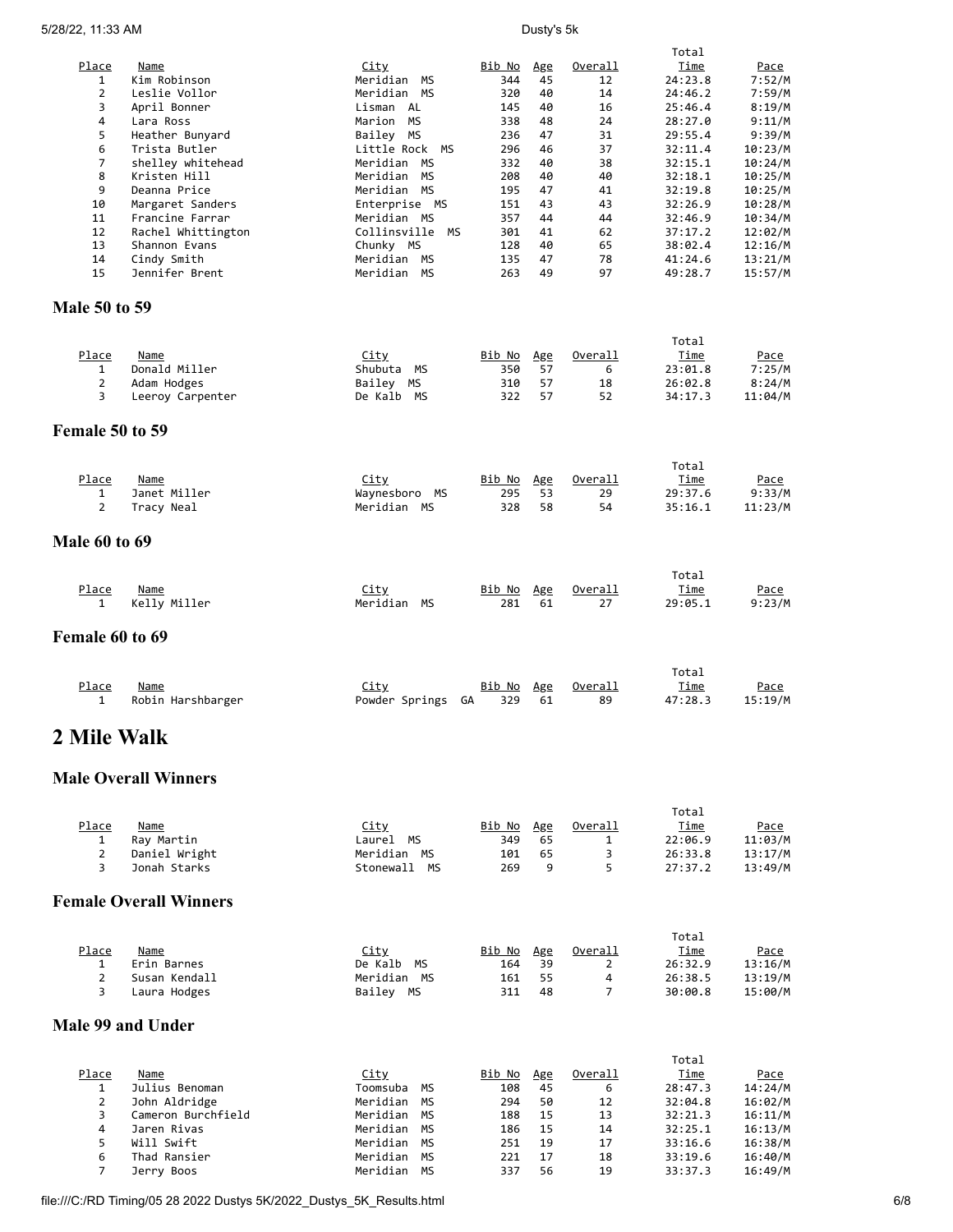|                |                    |                    |               |     |         | Total       |             |
|----------------|--------------------|--------------------|---------------|-----|---------|-------------|-------------|
| Place          | <u>Name</u>        | <u>City</u>        | <u>Bib No</u> | Age | Overall | <u>Time</u> | <u>Pace</u> |
| 1              | Kim Robinson       | Meridian<br>MS     | 344           | 45  | 12      | 24:23.8     | 7:52/M      |
| $\overline{2}$ | Leslie Vollor      | Meridian<br>MS     | 320           | 40  | 14      | 24:46.2     | 7:59/M      |
| 3              | April Bonner       | Lisman AL          | 145           | 40  | 16      | 25:46.4     | 8:19/M      |
| 4              | Lara Ross          | Marion<br>MS       | 338           | 48  | 24      | 28:27.0     | 9:11/M      |
| 5              | Heather Bunyard    | Bailey MS          | 236           | 47  | 31      | 29:55.4     | 9:39/M      |
| 6              | Trista Butler      | Little Rock MS     | 296           | 46  | 37      | 32:11.4     | 10:23/M     |
| 7              | shelley whitehead  | Meridian<br>MS     | 332           | 40  | 38      | 32:15.1     | 10:24/M     |
| 8              | Kristen Hill       | Meridian<br>MS     | 208           | 40  | 40      | 32:18.1     | 10:25/M     |
| 9              | Deanna Price       | Meridian<br>MS     | 195           | 47  | 41      | 32:19.8     | 10:25/M     |
| 10             | Margaret Sanders   | Enterprise MS      | 151           | 43  | 43      | 32:26.9     | 10:28/M     |
| 11             | Francine Farrar    | Meridian MS        | 357           | 44  | 44      | 32:46.9     | 10:34/M     |
| 12             | Rachel Whittington | Collinsville<br>MS | 301           | 41  | 62      | 37:17.2     | 12:02/M     |
| 13             | Shannon Evans      | Chunky MS          | 128           | 40  | 65      | 38:02.4     | 12:16/M     |
| 14             | Cindy Smith        | Meridian<br>MS     | 135           | 47  | 78      | 41:24.6     | 13:21/M     |
| 15             | Jennifer Brent     | Meridian<br>МS     | 263           | 49  | 97      | 49:28.7     | 15:57/M     |

#### **Male 50 to 59**

|       |                  |               |        |            |         | Total       |             |
|-------|------------------|---------------|--------|------------|---------|-------------|-------------|
| Place | Name             | <u>City</u>   | Bib No | <u>Age</u> | Overall | <u>Time</u> | <u>Pace</u> |
|       | Donald Miller    | Shubuta<br>MS | 350    | 57         |         | 23:01.8     | 7:25/M      |
|       | Adam Hodges      | Bailey MS     | 310    | -57        | 18      | 26:02.8     | 8:24/M      |
|       | Leeroy Carpenter | De Kalb MS    | 322    | -57        | 52      | 34:17.3     | 11:04/M     |
|       |                  |               |        |            |         |             |             |

#### **Female 50 to 59**

|              |              |                       |                   |     |         | Total       |             |
|--------------|--------------|-----------------------|-------------------|-----|---------|-------------|-------------|
| <u>Place</u> | <u>Name</u>  | <u>City</u>           | <u>Bib No Age</u> |     | Overall | <u>Time</u> | <u>Pace</u> |
|              | Janet Miller | Waynesboro MS         | 295               | -53 | 29      | 29:37.6     | 9:33/M      |
| 2            | Tracy Neal   | Meridian<br><b>MS</b> | 328               | 58  | 54      | 35:16.1     | 11:23/M     |
|              |              |                       |                   |     |         |             |             |

#### **Male 60 to 69**

|              |              |             |    |            |     |         | Total                                                                                                                                                                                                                                        |        |
|--------------|--------------|-------------|----|------------|-----|---------|----------------------------------------------------------------------------------------------------------------------------------------------------------------------------------------------------------------------------------------------|--------|
| <u>Place</u> | Name         | <u>City</u> |    | Bib No Age |     | Overall | Time<br><u> The Communication of the Communication of the Communication of the Communication of the Communication of the Communication of the Communication of the Communication of the Communication of the Communication of the Commun</u> | Pace   |
| 1            | Kelly Miller | Meridian    | MS | 281        | -61 |         | 29:05.1                                                                                                                                                                                                                                      | 9:23/M |

#### **Female 60 to 69**

|              |                   |                   |     |    |                           | Total   |             |
|--------------|-------------------|-------------------|-----|----|---------------------------|---------|-------------|
| <u>Place</u> | Name              | <u>City</u>       |     |    | <u>Bib No Age Overall</u> | Time    | <u>Pace</u> |
|              | Robin Harshbarger | Powder Springs GA | 329 | 61 | 89                        | 47:28.3 | 15:19/M     |

### **2 Mile Walk**

#### **Male Overall Winners**

|                   |                               |                 |               |            |         | Total       |             |
|-------------------|-------------------------------|-----------------|---------------|------------|---------|-------------|-------------|
| Place             | Name                          | <b>City</b>     | <u>Bib No</u> | Age        | Overall | <u>Time</u> | <u>Pace</u> |
| 1                 | Ray Martin                    | MS<br>Laurel    | 349           | 65         | 1       | 22:06.9     | 11:03/M     |
| 2                 | Daniel Wright                 | Meridian<br>МS  | 101           | 65         | 3       | 26:33.8     | 13:17/M     |
| 3                 | Jonah Starks                  | Stonewall<br>MS | 269           | 9          | 5       | 27:37.2     | 13:49/M     |
|                   | <b>Female Overall Winners</b> |                 |               |            |         |             |             |
|                   |                               |                 |               |            |         | Total       |             |
| Place             | Name                          | <u>City</u>     | Bib No        | <u>Age</u> | Overall | <u>Time</u> | Pace        |
| 1                 | Erin Barnes                   | De Kalb<br>MS   | 164           | 39         | 2       | 26:32.9     | 13:16/M     |
| $\overline{2}$    | Susan Kendall                 | Meridian MS     | 161           | 55         | 4       | 26:38.5     | 13:19/M     |
| 3                 | Laura Hodges                  | Bailey MS       | 311           | 48         | 7       | 30:00.8     | 15:00/M     |
| Male 99 and Under |                               |                 |               |            |         |             |             |

|       |                    |             |    |               |            |         | Total       |         |
|-------|--------------------|-------------|----|---------------|------------|---------|-------------|---------|
| Place | <u>Name</u>        | <u>City</u> |    | <u>Bib No</u> | <u>Age</u> | Overall | <u>Time</u> | Pace    |
|       | Julius Benoman     | Toomsuba    | MS | 108           | 45         | 6       | 28:47.3     | 14:24/M |
|       | John Aldridge      | Meridian    | MS | 294           | 50         | 12      | 32:04.8     | 16:02/M |
|       | Cameron Burchfield | Meridian    | MS | 188           | 15         | 13      | 32:21.3     | 16:11/M |
| 4     | Jaren Rivas        | Meridian    | MS | 186           | 15         | 14      | 32:25.1     | 16:13/M |
|       | Will Swift         | Meridian    | MS | 251           | 19         | 17      | 33:16.6     | 16:38/M |
| 6     | Thad Ransier       | Meridian    | MS | 221           | 17         | 18      | 33:19.6     | 16:40/M |
|       | Jerry Boos         | Meridian    | MS | 337           | 56         | 19      | 33:37.3     | 16:49/M |

file:///C:/RD Timing/05 28 2022 Dustys 5K/2022\_Dustys\_5K\_Results.html 6/8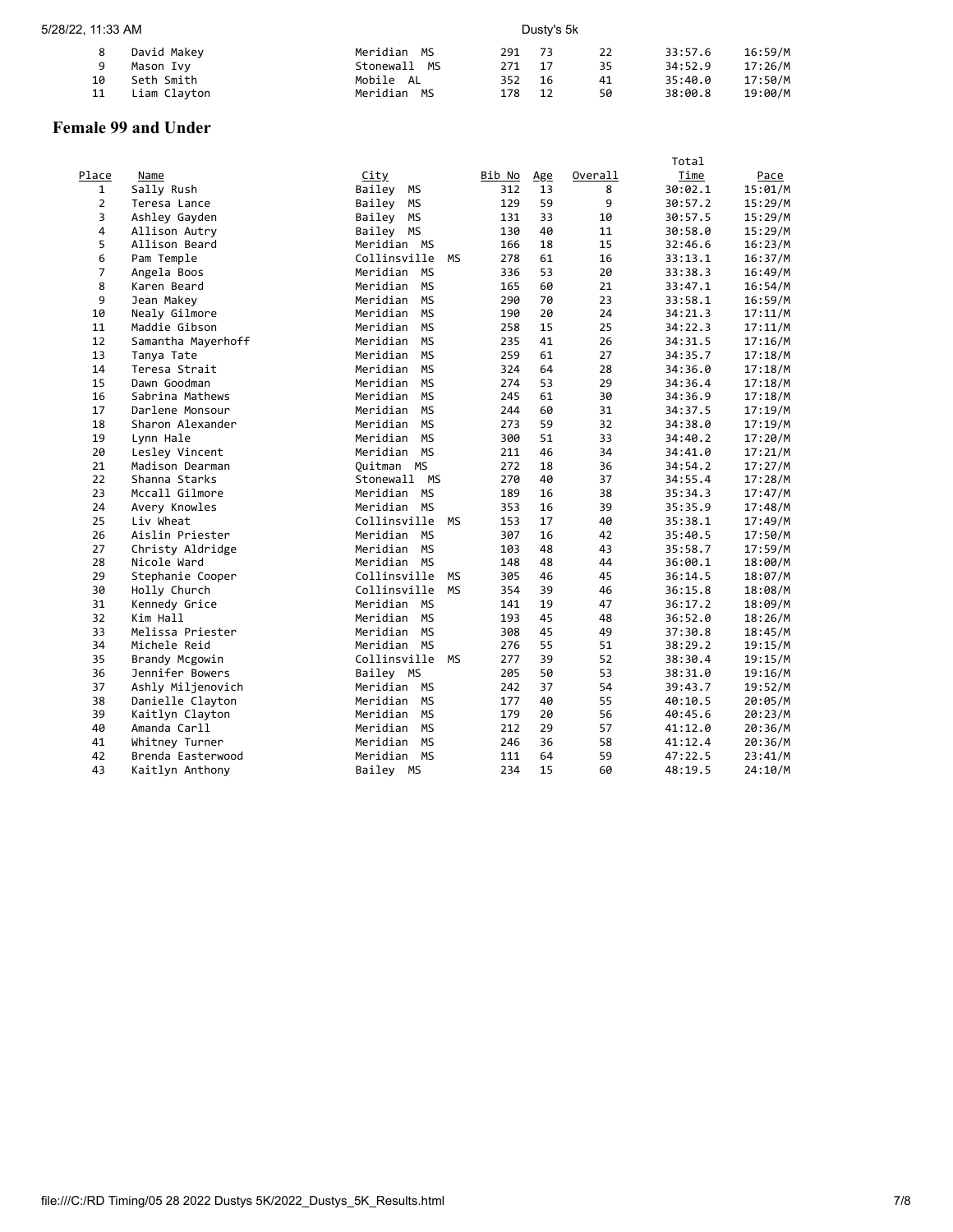| 5/28/22, 11:33 AM |              | Dusty's 5k     |     |    |    |         |         |  |
|-------------------|--------------|----------------|-----|----|----|---------|---------|--|
|                   | David Makey  | Meridian MS    | 291 | 73 | 22 | 33:57.6 | 16:59/M |  |
| 9                 | Mason Ivy    | Stonewall MS   | 271 | 17 | 35 | 34:52.9 | 17:26/M |  |
| 10                | Seth Smith   | Mobile AL      | 352 | 16 | 41 | 35:40.0 | 17:50/M |  |
|                   | Liam Clayton | Meridian<br>MS | 178 | 12 | 50 | 38:00.8 | 19:00/M |  |

### **Female 99 and Under**

|                |                    |                           |        |     |         | Total   |         |
|----------------|--------------------|---------------------------|--------|-----|---------|---------|---------|
| Place          | <b>Name</b>        | City                      | Bib No | Age | Overall | Time    | Pace    |
| $\mathbf{1}$   | Sally Rush         | Bailey MS                 | 312    | 13  | 8       | 30:02.1 | 15:01/M |
| $\overline{2}$ | Teresa Lance       | Bailey<br>МS              | 129    | 59  | 9       | 30:57.2 | 15:29/M |
| 3              | Ashley Gayden      | <b>MS</b><br>Bailey       | 131    | 33  | 10      | 30:57.5 | 15:29/M |
| 4              | Allison Autry      | Bailey MS                 | 130    | 40  | 11      | 30:58.0 | 15:29/M |
| 5              | Allison Beard      | Meridian MS               | 166    | 18  | 15      | 32:46.6 | 16:23/M |
| 6              | Pam Temple         | Collinsville<br><b>MS</b> | 278    | 61  | 16      | 33:13.1 | 16:37/M |
| 7              | Angela Boos        | Meridian MS               | 336    | 53  | 20      | 33:38.3 | 16:49/M |
| 8              | Karen Beard        | Meridian<br><b>MS</b>     | 165    | 60  | 21      | 33:47.1 | 16:54/M |
| 9              | Jean Makey         | Meridian<br><b>MS</b>     | 290    | 70  | 23      | 33:58.1 | 16:59/M |
| 10             | Nealy Gilmore      | Meridian MS               | 190    | 20  | 24      | 34:21.3 | 17:11/M |
| 11             | Maddie Gibson      | Meridian<br>MS            | 258    | 15  | 25      | 34:22.3 | 17:11/M |
| 12             | Samantha Mayerhoff | <b>MS</b><br>Meridian     | 235    | 41  | 26      | 34:31.5 | 17:16/M |
| 13             | Tanya Tate         | Meridian MS               | 259    | 61  | 27      | 34:35.7 | 17:18/M |
| 14             | Teresa Strait      | <b>MS</b><br>Meridian     | 324    | 64  | 28      | 34:36.0 | 17:18/M |
| 15             | Dawn Goodman       | Meridian<br><b>MS</b>     | 274    | 53  | 29      | 34:36.4 | 17:18/M |
| 16             | Sabrina Mathews    | MS<br>Meridian            | 245    | 61  | 30      | 34:36.9 | 17:18/M |
| 17             | Darlene Monsour    | Meridian<br>MS            | 244    | 60  | 31      | 34:37.5 | 17:19/M |
| 18             | Sharon Alexander   | Meridian<br>MS            | 273    | 59  | 32      | 34:38.0 | 17:19/M |
| 19             | Lynn Hale          | <b>MS</b><br>Meridian     | 300    | 51  | 33      | 34:40.2 | 17:20/M |
| 20             | Lesley Vincent     | <b>MS</b><br>Meridian     | 211    | 46  | 34      | 34:41.0 | 17:21/M |
| 21             | Madison Dearman    | Quitman MS                | 272    | 18  | 36      | 34:54.2 | 17:27/M |
| 22             | Shanna Starks      | Stonewall MS              | 270    | 40  | 37      | 34:55.4 | 17:28/M |
| 23             | Mccall Gilmore     | Meridian MS               | 189    | 16  | 38      | 35:34.3 | 17:47/M |
| 24             | Avery Knowles      | Meridian<br>MS            | 353    | 16  | 39      | 35:35.9 | 17:48/M |
| 25             | Liv Wheat          | Collinsville<br><b>MS</b> | 153    | 17  | 40      | 35:38.1 | 17:49/M |
| 26             | Aislin Priester    | Meridian<br>MS            | 307    | 16  | 42      | 35:40.5 | 17:50/M |
| 27             | Christy Aldridge   | Meridian<br><b>MS</b>     | 103    | 48  | 43      | 35:58.7 | 17:59/M |
| 28             | Nicole Ward        | MS<br>Meridian            | 148    | 48  | 44      | 36:00.1 | 18:00/M |
| 29             | Stephanie Cooper   | Collinsville<br>MS        | 305    | 46  | 45      | 36:14.5 | 18:07/M |
| 30             | Holly Church       | Collinsville<br><b>MS</b> | 354    | 39  | 46      | 36:15.8 | 18:08/M |
| 31             | Kennedy Grice      | Meridian MS               | 141    | 19  | 47      | 36:17.2 | 18:09/M |
| 32             | Kim Hall           | Meridian<br><b>MS</b>     | 193    | 45  | 48      | 36:52.0 | 18:26/M |
| 33             | Melissa Priester   | Meridian<br><b>MS</b>     | 308    | 45  | 49      | 37:30.8 | 18:45/M |
| 34             | Michele Reid       | Meridian MS               | 276    | 55  | 51      | 38:29.2 | 19:15/M |
| 35             | Brandy Mcgowin     | Collinsville<br><b>MS</b> | 277    | 39  | 52      | 38:30.4 | 19:15/M |
| 36             | Jennifer Bowers    | Bailey MS                 | 205    | 50  | 53      | 38:31.0 | 19:16/M |
| 37             | Ashly Miljenovich  | Meridian MS               | 242    | 37  | 54      | 39:43.7 | 19:52/M |
| 38             | Danielle Clayton   | <b>MS</b><br>Meridian     | 177    | 40  | 55      | 40:10.5 | 20:05/M |
| 39             | Kaitlyn Clayton    | <b>MS</b><br>Meridian     | 179    | 20  | 56      | 40:45.6 | 20:23/M |
| 40             | Amanda Carll       | <b>MS</b><br>Meridian     | 212    | 29  | 57      | 41:12.0 | 20:36/M |
| 41             | Whitney Turner     | <b>MS</b><br>Meridian     | 246    | 36  | 58      | 41:12.4 | 20:36/M |
| 42             | Brenda Easterwood  | MS<br>Meridian            | 111    | 64  | 59      | 47:22.5 | 23:41/M |
| 43             | Kaitlyn Anthony    | Bailey MS                 | 234    | 15  | 60      | 48:19.5 | 24:10/M |
|                |                    |                           |        |     |         |         |         |